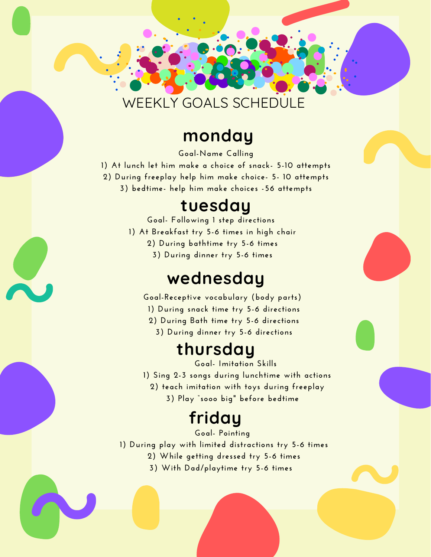### WEEKLY GOALS SCHEDULE

**JULIAN** 

#### **monday**

**Goal-Name Calling 1) At lunch let him make a choice of snack- 5-10 attempts 2) During freeplay help him make choice- 5- 10 attempts 3) bedtime- help him make choices -56 attempts**

#### **tuesday**

**Goal- Following 1 step directions 1) At Breakfast try 5-6 times in high chair 2) During bathtime try 5-6 times 3) During dinner try 5-6 times**

### **wednesday**

**Goal-Receptive vocabulary (body parts)**

- **1) During snack time try 5-6 directions**
- **2) During Bath time try 5-6 directions**
	- **3) During dinner try 5-6 directions**

# **thursday**

**Goal- Imitation Skills**

- **1) Sing 2-3 songs during lunchtime with actions**
	- **2) teach imitation with toys during freeplay**
		- **3) Play "sooo big" before bedtime**

# **friday**

**Goal- Pointing**

**1) During play with limited distractions try 5-6 times**

- **2) While getting dressed try 5-6 times**
- **3) With Dad/playtime try 5-6 times**